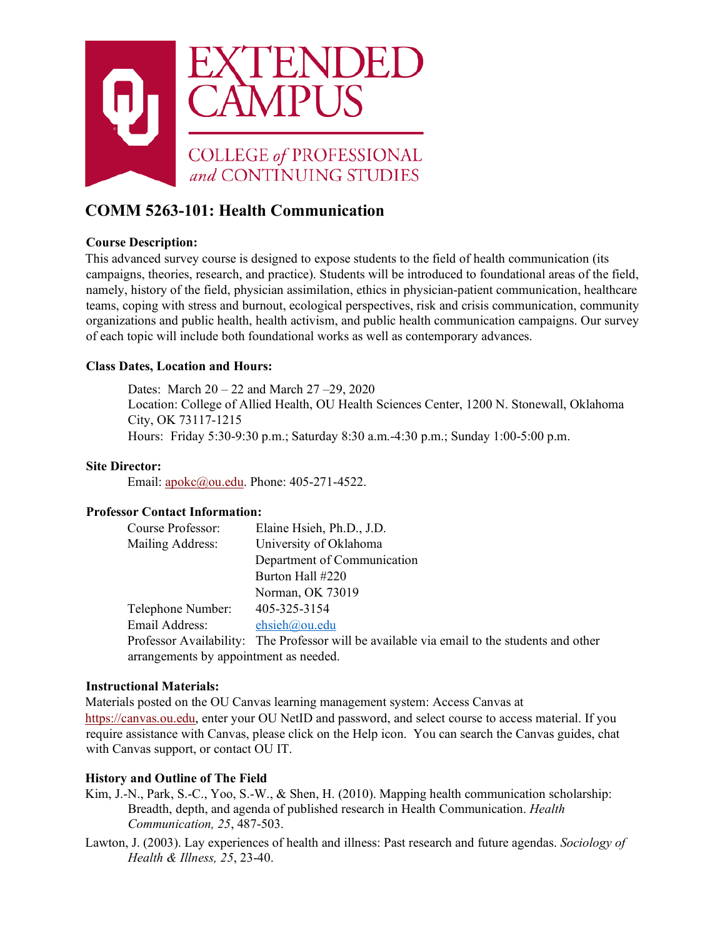

# **COMM 5263-101: Health Communication**

### **Course Description:**

This advanced survey course is designed to expose students to the field of health communication (its campaigns, theories, research, and practice). Students will be introduced to foundational areas of the field, namely, history of the field, physician assimilation, ethics in physician-patient communication, healthcare teams, coping with stress and burnout, ecological perspectives, risk and crisis communication, community organizations and public health, health activism, and public health communication campaigns. Our survey of each topic will include both foundational works as well as contemporary advances.

### **Class Dates, Location and Hours:**

Dates: March 20 – 22 and March 27 –29, 2020 Location: College of Allied Health, OU Health Sciences Center, 1200 N. Stonewall, Oklahoma City, OK 73117-1215 Hours: Friday 5:30-9:30 p.m.; Saturday 8:30 a.m.-4:30 p.m.; Sunday 1:00-5:00 p.m.

### **Site Director:**

Email: apokc@ou.edu. Phone: 405-271-4522.

### **Professor Contact Information:**

| Course Professor:                      | Elaine Hsieh, Ph.D., J.D.                                                                   |  |  |  |
|----------------------------------------|---------------------------------------------------------------------------------------------|--|--|--|
| <b>Mailing Address:</b>                | University of Oklahoma                                                                      |  |  |  |
|                                        | Department of Communication                                                                 |  |  |  |
|                                        | Burton Hall #220                                                                            |  |  |  |
|                                        | Norman, OK 73019                                                                            |  |  |  |
| Telephone Number:                      | 405-325-3154                                                                                |  |  |  |
| Email Address:                         | ehsieh@ou.edu                                                                               |  |  |  |
|                                        | Professor Availability: The Professor will be available via email to the students and other |  |  |  |
| arrangements by appointment as needed. |                                                                                             |  |  |  |

### **Instructional Materials:**

Materials posted on the OU Canvas learning management system: Access Canvas at [https://canvas.ou.edu,](https://canvas.ou.edu/) enter your OU NetID and password, and select course to access material. If you require assistance with Canvas, please click on the Help icon. You can search the Canvas guides, chat with Canvas support, or contact OU IT.

### **History and Outline of The Field**

- Kim, J.-N., Park, S.-C., Yoo, S.-W., & Shen, H. (2010). Mapping health communication scholarship: Breadth, depth, and agenda of published research in Health Communication. *Health Communication, 25*, 487-503.
- Lawton, J. (2003). Lay experiences of health and illness: Past research and future agendas. *Sociology of Health & Illness, 25*, 23-40.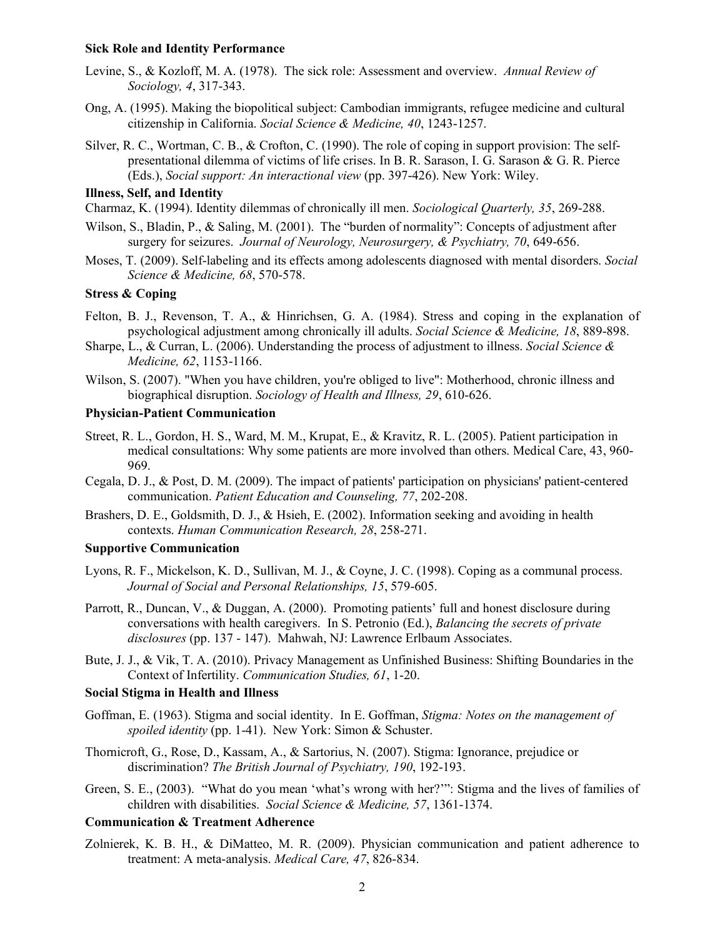#### **Sick Role and Identity Performance**

- Levine, S., & Kozloff, M. A. (1978). The sick role: Assessment and overview. *Annual Review of Sociology, 4*, 317-343.
- Ong, A. (1995). Making the biopolitical subject: Cambodian immigrants, refugee medicine and cultural citizenship in California. *Social Science & Medicine, 40*, 1243-1257.
- Silver, R. C., Wortman, C. B., & Crofton, C. (1990). The role of coping in support provision: The selfpresentational dilemma of victims of life crises. In B. R. Sarason, I. G. Sarason & G. R. Pierce (Eds.), *Social support: An interactional view* (pp. 397-426). New York: Wiley.

#### **Illness, Self, and Identity**

Charmaz, K. (1994). Identity dilemmas of chronically ill men. *Sociological Quarterly, 35*, 269-288.

- Wilson, S., Bladin, P., & Saling, M. (2001). The "burden of normality": Concepts of adjustment after surgery for seizures. *Journal of Neurology, Neurosurgery, & Psychiatry, 70*, 649-656.
- Moses, T. (2009). Self-labeling and its effects among adolescents diagnosed with mental disorders. *Social Science & Medicine, 68*, 570-578.

### **Stress & Coping**

- Felton, B. J., Revenson, T. A., & Hinrichsen, G. A. (1984). Stress and coping in the explanation of psychological adjustment among chronically ill adults. *Social Science & Medicine, 18*, 889-898.
- Sharpe, L., & Curran, L. (2006). Understanding the process of adjustment to illness. *Social Science & Medicine, 62*, 1153-1166.
- Wilson, S. (2007). "When you have children, you're obliged to live": Motherhood, chronic illness and biographical disruption. *Sociology of Health and Illness, 29*, 610-626.

### **Physician-Patient Communication**

- Street, R. L., Gordon, H. S., Ward, M. M., Krupat, E., & Kravitz, R. L. (2005). Patient participation in medical consultations: Why some patients are more involved than others. Medical Care, 43, 960- 969.
- Cegala, D. J., & Post, D. M. (2009). The impact of patients' participation on physicians' patient-centered communication. *Patient Education and Counseling, 77*, 202-208.
- Brashers, D. E., Goldsmith, D. J., & Hsieh, E. (2002). Information seeking and avoiding in health contexts. *Human Communication Research, 28*, 258-271.

### **Supportive Communication**

- Lyons, R. F., Mickelson, K. D., Sullivan, M. J., & Coyne, J. C. (1998). Coping as a communal process. *Journal of Social and Personal Relationships, 15*, 579-605.
- Parrott, R., Duncan, V., & Duggan, A. (2000). Promoting patients' full and honest disclosure during conversations with health caregivers. In S. Petronio (Ed.), *Balancing the secrets of private disclosures* (pp. 137 - 147). Mahwah, NJ: Lawrence Erlbaum Associates.
- Bute, J. J., & Vik, T. A. (2010). Privacy Management as Unfinished Business: Shifting Boundaries in the Context of Infertility. *Communication Studies, 61*, 1-20.

### **Social Stigma in Health and Illness**

- Goffman, E. (1963). Stigma and social identity. In E. Goffman, *Stigma: Notes on the management of spoiled identity* (pp. 1-41). New York: Simon & Schuster.
- Thornicroft, G., Rose, D., Kassam, A., & Sartorius, N. (2007). Stigma: Ignorance, prejudice or discrimination? *The British Journal of Psychiatry, 190*, 192-193.
- Green, S. E., (2003). "What do you mean 'what's wrong with her?'": Stigma and the lives of families of children with disabilities. *Social Science & Medicine, 57*, 1361-1374.

#### **Communication & Treatment Adherence**

Zolnierek, K. B. H., & DiMatteo, M. R. (2009). Physician communication and patient adherence to treatment: A meta-analysis. *Medical Care, 47*, 826-834.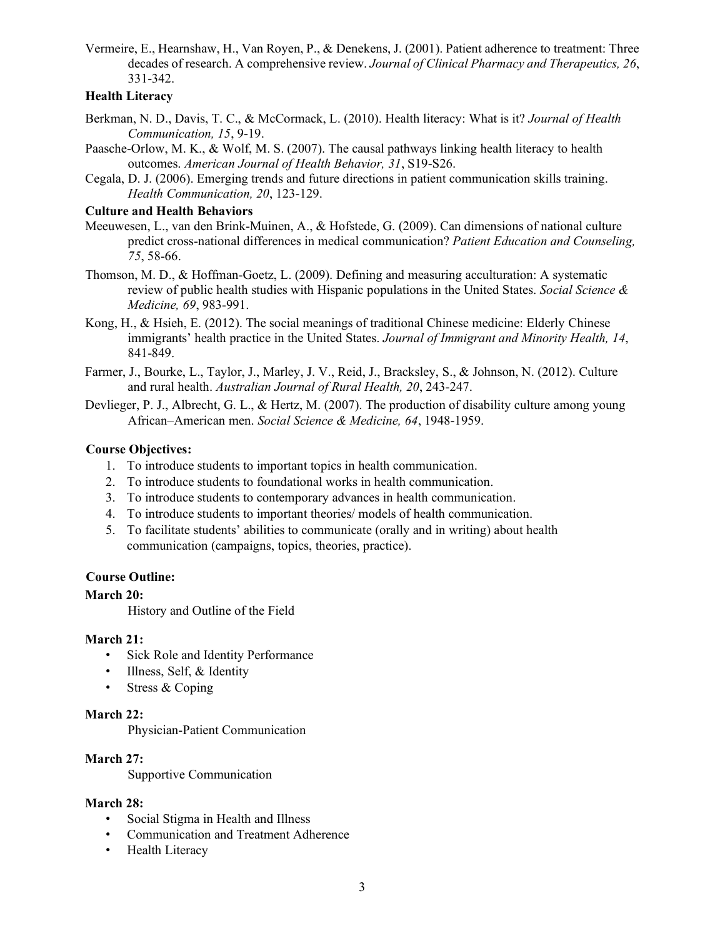Vermeire, E., Hearnshaw, H., Van Royen, P., & Denekens, J. (2001). Patient adherence to treatment: Three decades of research. A comprehensive review. *Journal of Clinical Pharmacy and Therapeutics, 26*, 331-342.

#### **Health Literacy**

- Berkman, N. D., Davis, T. C., & McCormack, L. (2010). Health literacy: What is it? *Journal of Health Communication, 15*, 9-19.
- Paasche-Orlow, M. K., & Wolf, M. S. (2007). The causal pathways linking health literacy to health outcomes. *American Journal of Health Behavior, 31*, S19-S26.
- Cegala, D. J. (2006). Emerging trends and future directions in patient communication skills training. *Health Communication, 20*, 123-129.

#### **Culture and Health Behaviors**

- Meeuwesen, L., van den Brink-Muinen, A., & Hofstede, G. (2009). Can dimensions of national culture predict cross-national differences in medical communication? *Patient Education and Counseling, 75*, 58-66.
- Thomson, M. D., & Hoffman-Goetz, L. (2009). Defining and measuring acculturation: A systematic review of public health studies with Hispanic populations in the United States. *Social Science & Medicine, 69*, 983-991.
- Kong, H., & Hsieh, E. (2012). The social meanings of traditional Chinese medicine: Elderly Chinese immigrants' health practice in the United States. *Journal of Immigrant and Minority Health, 14*, 841-849.
- Farmer, J., Bourke, L., Taylor, J., Marley, J. V., Reid, J., Bracksley, S., & Johnson, N. (2012). Culture and rural health. *Australian Journal of Rural Health, 20*, 243-247.
- Devlieger, P. J., Albrecht, G. L., & Hertz, M. (2007). The production of disability culture among young African–American men. *Social Science & Medicine, 64*, 1948-1959.

### **Course Objectives:**

- 1. To introduce students to important topics in health communication.
- 2. To introduce students to foundational works in health communication.
- 3. To introduce students to contemporary advances in health communication.
- 4. To introduce students to important theories/ models of health communication.
- 5. To facilitate students' abilities to communicate (orally and in writing) about health communication (campaigns, topics, theories, practice).

### **Course Outline:**

### **March 20:**

History and Outline of the Field

#### **March 21:**

- Sick Role and Identity Performance
- Illness, Self, & Identity
- Stress & Coping

#### **March 22:**

Physician-Patient Communication

### **March 27:**

Supportive Communication

#### **March 28:**

- Social Stigma in Health and Illness
- Communication and Treatment Adherence
- **Health Literacy**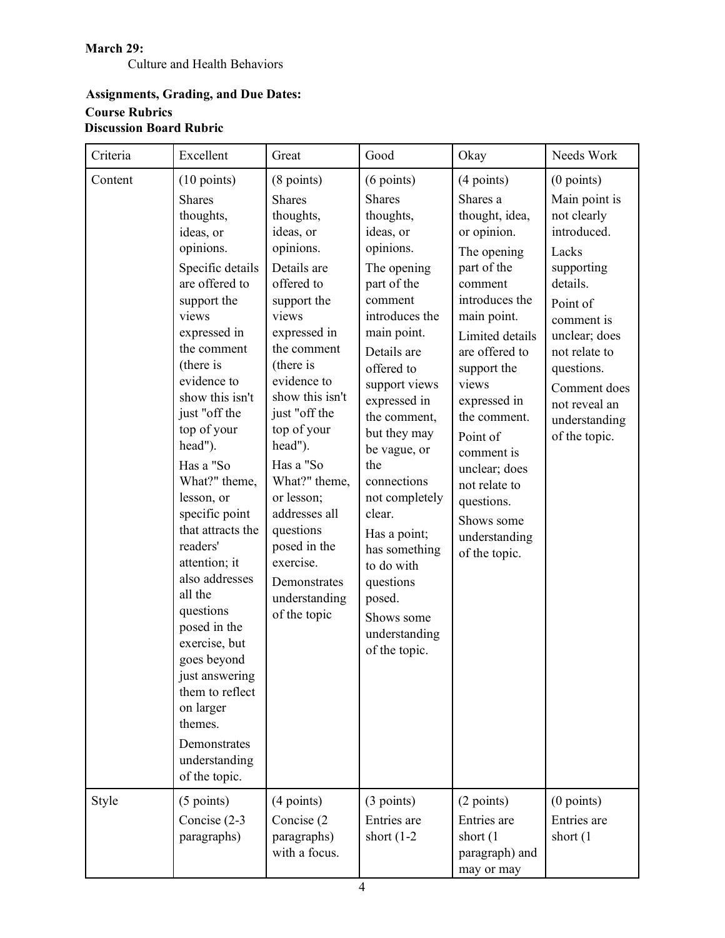### **March 29:**

Culture and Health Behaviors

# **Assignments, Grading, and Due Dates: Course Rubrics Discussion Board Rubric**

| Criteria | Excellent                                                                                                                                                                                                                                                                                                                                                                                                                                                                                                                                                                                     | Great                                                                                                                                                                                                                                                                                                                                                                                                    | Good                                                                                                                                                                                                                                                                                                                                                                                                                                 | Okay                                                                                                                                                                                                                                                                                                                                                       | Needs Work                                                                                                                                                                                                                                  |
|----------|-----------------------------------------------------------------------------------------------------------------------------------------------------------------------------------------------------------------------------------------------------------------------------------------------------------------------------------------------------------------------------------------------------------------------------------------------------------------------------------------------------------------------------------------------------------------------------------------------|----------------------------------------------------------------------------------------------------------------------------------------------------------------------------------------------------------------------------------------------------------------------------------------------------------------------------------------------------------------------------------------------------------|--------------------------------------------------------------------------------------------------------------------------------------------------------------------------------------------------------------------------------------------------------------------------------------------------------------------------------------------------------------------------------------------------------------------------------------|------------------------------------------------------------------------------------------------------------------------------------------------------------------------------------------------------------------------------------------------------------------------------------------------------------------------------------------------------------|---------------------------------------------------------------------------------------------------------------------------------------------------------------------------------------------------------------------------------------------|
| Content  | $(10 \text{ points})$<br><b>Shares</b><br>thoughts,<br>ideas, or<br>opinions.<br>Specific details<br>are offered to<br>support the<br>views<br>expressed in<br>the comment<br>(there is<br>evidence to<br>show this isn't<br>just "off the<br>top of your<br>head").<br>Has a "So<br>What?" theme,<br>lesson, or<br>specific point<br>that attracts the<br>readers'<br>attention; it<br>also addresses<br>all the<br>questions<br>posed in the<br>exercise, but<br>goes beyond<br>just answering<br>them to reflect<br>on larger<br>themes.<br>Demonstrates<br>understanding<br>of the topic. | (8 points)<br><b>Shares</b><br>thoughts,<br>ideas, or<br>opinions.<br>Details are<br>offered to<br>support the<br>views<br>expressed in<br>the comment<br>(there is<br>evidence to<br>show this isn't<br>just "off the<br>top of your<br>head").<br>Has a "So<br>What?" theme,<br>or lesson;<br>addresses all<br>questions<br>posed in the<br>exercise.<br>Demonstrates<br>understanding<br>of the topic | $(6$ points)<br><b>Shares</b><br>thoughts,<br>ideas, or<br>opinions.<br>The opening<br>part of the<br>comment<br>introduces the<br>main point.<br>Details are<br>offered to<br>support views<br>expressed in<br>the comment,<br>but they may<br>be vague, or<br>the<br>connections<br>not completely<br>clear.<br>Has a point;<br>has something<br>to do with<br>questions<br>posed.<br>Shows some<br>understanding<br>of the topic. | $(4$ points)<br>Shares a<br>thought, idea,<br>or opinion.<br>The opening<br>part of the<br>comment<br>introduces the<br>main point.<br>Limited details<br>are offered to<br>support the<br>views<br>expressed in<br>the comment.<br>Point of<br>comment is<br>unclear; does<br>not relate to<br>questions.<br>Shows some<br>understanding<br>of the topic. | $(0$ points)<br>Main point is<br>not clearly<br>introduced.<br>Lacks<br>supporting<br>details.<br>Point of<br>comment is<br>unclear; does<br>not relate to<br>questions.<br>Comment does<br>not reveal an<br>understanding<br>of the topic. |
| Style    | $(5$ points)<br>Concise (2-3<br>paragraphs)                                                                                                                                                                                                                                                                                                                                                                                                                                                                                                                                                   | (4 points)<br>Concise (2)<br>paragraphs)<br>with a focus.                                                                                                                                                                                                                                                                                                                                                | (3 points)<br>Entries are<br>short $(1-2)$                                                                                                                                                                                                                                                                                                                                                                                           | (2 points)<br>Entries are<br>short (1)<br>paragraph) and<br>may or may                                                                                                                                                                                                                                                                                     | $(0$ points)<br>Entries are<br>short $(1)$                                                                                                                                                                                                  |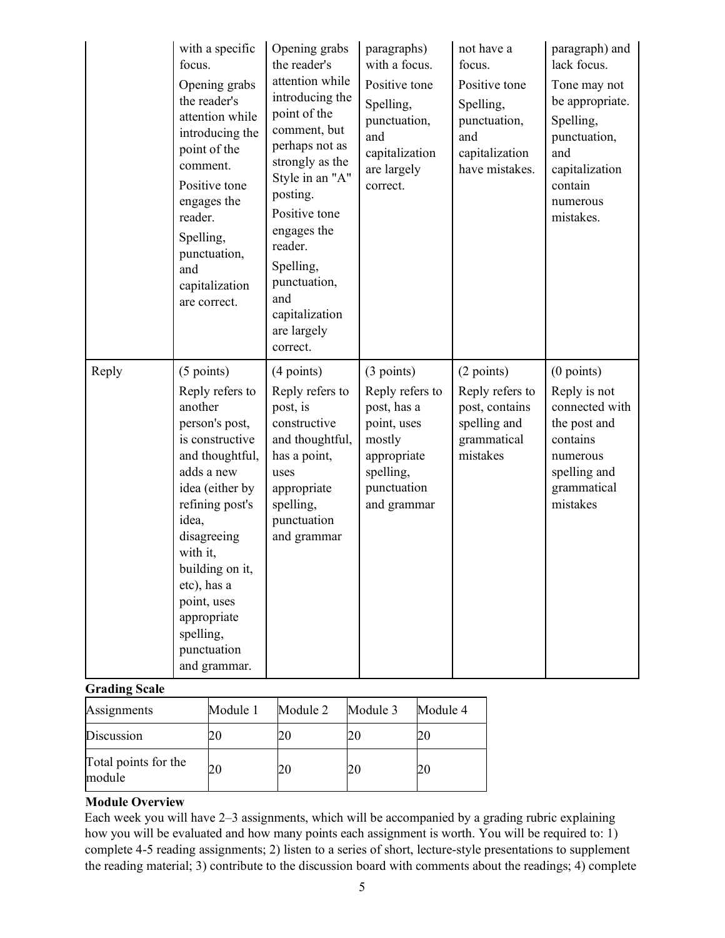|       | with a specific<br>focus.<br>Opening grabs<br>the reader's<br>attention while<br>introducing the<br>point of the<br>comment.<br>Positive tone<br>engages the<br>reader.<br>Spelling,<br>punctuation,<br>and<br>capitalization<br>are correct.                                                          | Opening grabs<br>the reader's<br>attention while<br>introducing the<br>point of the<br>comment, but<br>perhaps not as<br>strongly as the<br>Style in an "A"<br>posting.<br>Positive tone<br>engages the<br>reader.<br>Spelling,<br>punctuation,<br>and<br>capitalization<br>are largely<br>correct. | paragraphs)<br>with a focus.<br>Positive tone<br>Spelling,<br>punctuation,<br>and<br>capitalization<br>are largely<br>correct.  | not have a<br>focus.<br>Positive tone<br>Spelling,<br>punctuation,<br>and<br>capitalization<br>have mistakes. | paragraph) and<br>lack focus.<br>Tone may not<br>be appropriate.<br>Spelling,<br>punctuation,<br>and<br>capitalization<br>contain<br>numerous<br>mistakes. |
|-------|--------------------------------------------------------------------------------------------------------------------------------------------------------------------------------------------------------------------------------------------------------------------------------------------------------|-----------------------------------------------------------------------------------------------------------------------------------------------------------------------------------------------------------------------------------------------------------------------------------------------------|---------------------------------------------------------------------------------------------------------------------------------|---------------------------------------------------------------------------------------------------------------|------------------------------------------------------------------------------------------------------------------------------------------------------------|
| Reply | $(5$ points)<br>Reply refers to<br>another<br>person's post,<br>is constructive<br>and thoughtful,<br>adds a new<br>idea (either by<br>refining post's<br>idea,<br>disagreeing<br>with it,<br>building on it,<br>etc), has a<br>point, uses<br>appropriate<br>spelling,<br>punctuation<br>and grammar. | $(4$ points)<br>Reply refers to<br>post, is<br>constructive<br>and thoughtful,<br>has a point,<br>uses<br>appropriate<br>spelling,<br>punctuation<br>and grammar                                                                                                                                    | (3 points)<br>Reply refers to<br>post, has a<br>point, uses<br>mostly<br>appropriate<br>spelling,<br>punctuation<br>and grammar | (2 points)<br>Reply refers to<br>post, contains<br>spelling and<br>grammatical<br>mistakes                    | $(0$ points)<br>Reply is not<br>connected with<br>the post and<br>contains<br>numerous<br>spelling and<br>grammatical<br>mistakes                          |

### **Grading Scale**

| Assignments                    | Module 1 | Module 2 | Module 3 | Module 4 |
|--------------------------------|----------|----------|----------|----------|
| Discussion                     |          |          |          |          |
| Total points for the<br>module |          |          |          |          |

### **Module Overview**

Each week you will have 2–3 assignments, which will be accompanied by a grading rubric explaining how you will be evaluated and how many points each assignment is worth. You will be required to: 1) complete 4-5 reading assignments; 2) listen to a series of short, lecture-style presentations to supplement the reading material; 3) contribute to the discussion board with comments about the readings; 4) complete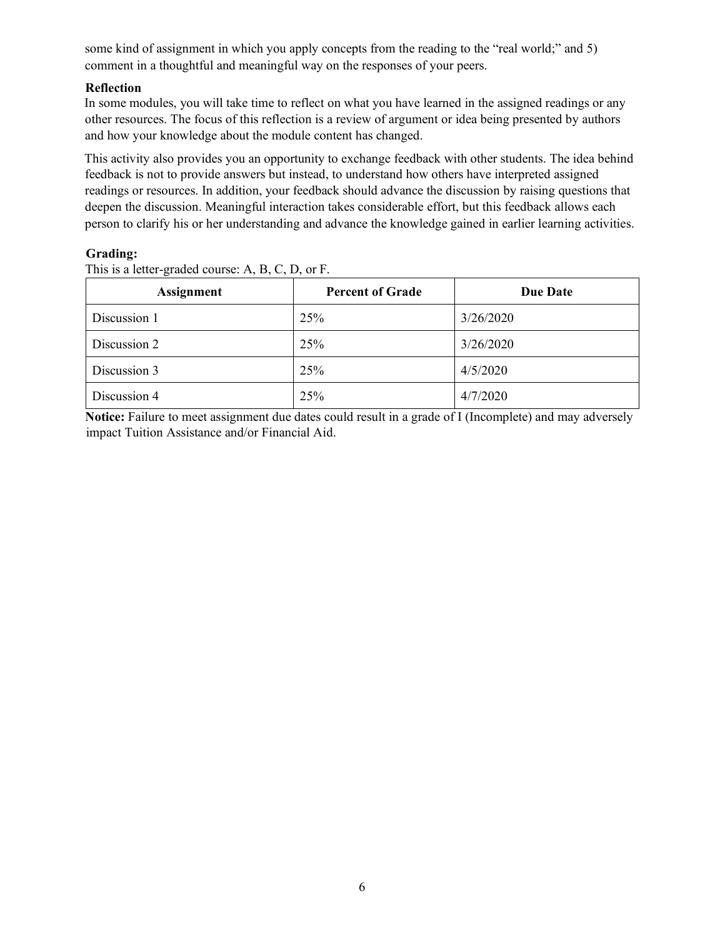some kind of assignment in which you apply concepts from the reading to the "real world;" and 5) comment in a thoughtful and meaningful way on the responses of your peers.

# **Reflection**

In some modules, you will take time to reflect on what you have learned in the assigned readings or any other resources. The focus of this reflection is a review of argument or idea being presented by authors and how your knowledge about the module content has changed.

This activity also provides you an opportunity to exchange feedback with other students. The idea behind feedback is not to provide answers but instead, to understand how others have interpreted assigned readings or resources. In addition, your feedback should advance the discussion by raising questions that deepen the discussion. Meaningful interaction takes considerable effort, but this feedback allows each person to clarify his or her understanding and advance the knowledge gained in earlier learning activities.

# **Grading:**

This is a letter-graded course: A, B, C, D, or F.

| <b>Assignment</b> | <b>Percent of Grade</b> | <b>Due Date</b> |
|-------------------|-------------------------|-----------------|
| Discussion 1      | 25%                     | 3/26/2020       |
| Discussion 2      | 25%                     | 3/26/2020       |
| Discussion 3      | 25%                     | 4/5/2020        |
| Discussion 4      | 25%                     | 4/7/2020        |

**Notice:** Failure to meet assignment due dates could result in a grade of I (Incomplete) and may adversely impact Tuition Assistance and/or Financial Aid.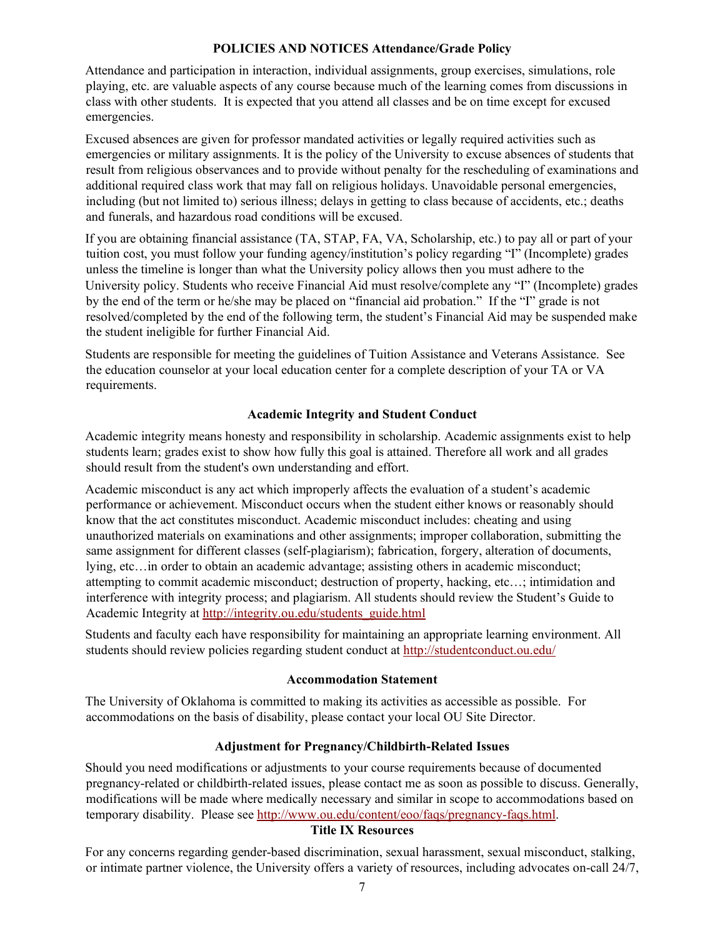### **POLICIES AND NOTICES Attendance/Grade Policy**

Attendance and participation in interaction, individual assignments, group exercises, simulations, role playing, etc. are valuable aspects of any course because much of the learning comes from discussions in class with other students. It is expected that you attend all classes and be on time except for excused emergencies.

Excused absences are given for professor mandated activities or legally required activities such as emergencies or military assignments. It is the policy of the University to excuse absences of students that result from religious observances and to provide without penalty for the rescheduling of examinations and additional required class work that may fall on religious holidays. Unavoidable personal emergencies, including (but not limited to) serious illness; delays in getting to class because of accidents, etc.; deaths and funerals, and hazardous road conditions will be excused.

If you are obtaining financial assistance (TA, STAP, FA, VA, Scholarship, etc.) to pay all or part of your tuition cost, you must follow your funding agency/institution's policy regarding "I" (Incomplete) grades unless the timeline is longer than what the University policy allows then you must adhere to the University policy. Students who receive Financial Aid must resolve/complete any "I" (Incomplete) grades by the end of the term or he/she may be placed on "financial aid probation." If the "I" grade is not resolved/completed by the end of the following term, the student's Financial Aid may be suspended make the student ineligible for further Financial Aid.

Students are responsible for meeting the guidelines of Tuition Assistance and Veterans Assistance. See the education counselor at your local education center for a complete description of your TA or VA requirements.

### **Academic Integrity and Student Conduct**

Academic integrity means honesty and responsibility in scholarship. Academic assignments exist to help students learn; grades exist to show how fully this goal is attained. Therefore all work and all grades should result from the student's own understanding and effort.

Academic misconduct is any act which improperly affects the evaluation of a student's academic performance or achievement. Misconduct occurs when the student either knows or reasonably should know that the act constitutes misconduct. Academic misconduct includes: cheating and using unauthorized materials on examinations and other assignments; improper collaboration, submitting the same assignment for different classes (self-plagiarism); fabrication, forgery, alteration of documents, lying, etc…in order to obtain an academic advantage; assisting others in academic misconduct; attempting to commit academic misconduct; destruction of property, hacking, etc…; intimidation and interference with integrity process; and plagiarism. All students should review the Student's Guide to Academic Integrity at [http://integrity.ou.edu/students\\_guide.html](http://integrity.ou.edu/students_guide.html)

Students and faculty each have responsibility for maintaining an appropriate learning environment. All students should review policies regarding student conduct a[t http://studentconduct.ou.edu/](http://studentconduct.ou.edu/)

### **Accommodation Statement**

The University of Oklahoma is committed to making its activities as accessible as possible. For accommodations on the basis of disability, please contact your local OU Site Director.

### **Adjustment for Pregnancy/Childbirth-Related Issues**

Should you need modifications or adjustments to your course requirements because of documented pregnancy-related or childbirth-related issues, please contact me as soon as possible to discuss. Generally, modifications will be made where medically necessary and similar in scope to accommodations based on temporary disability. Please see http://www.ou.edu/content/eoo/faqs/pregnancy-faqs.html.

### **Title IX Resources**

For any concerns regarding gender-based discrimination, sexual harassment, sexual misconduct, stalking, or intimate partner violence, the University offers a variety of resources, including advocates on-call 24/7,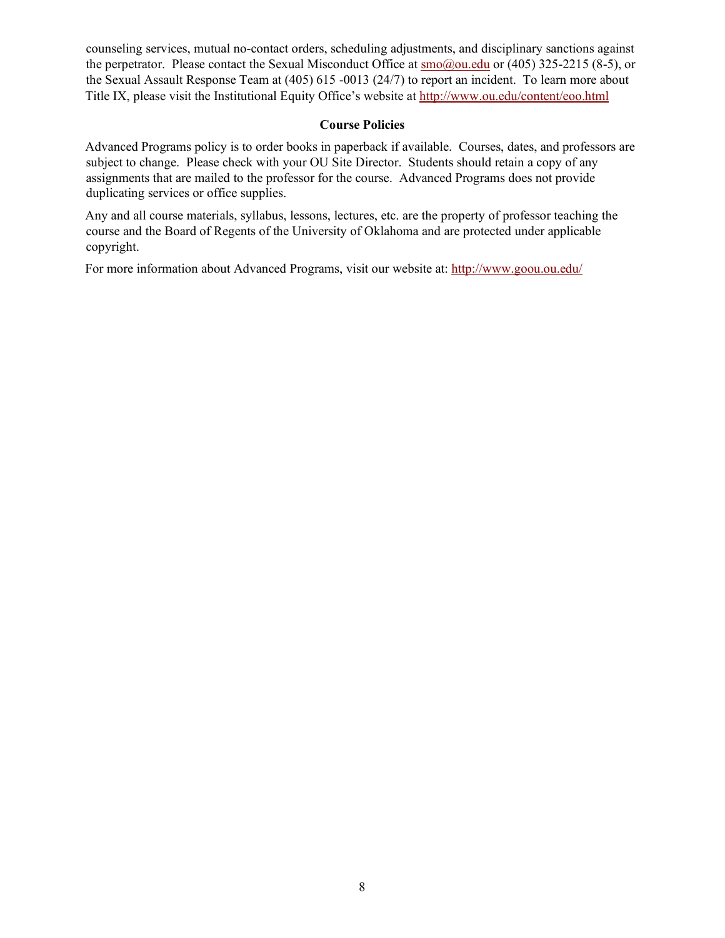counseling services, mutual no-contact orders, scheduling adjustments, and disciplinary sanctions against the perpetrator. Please contact the Sexual Misconduct Office at  $\frac{\text{smo}(a) \text{ou.edu}}{\text{ou.edu}}$  or (405) 325-2215 (8-5), or the Sexual Assault Response Team at (405) 615 -0013 (24/7) to report an incident. To learn more about Title IX, please visit the Institutional Equity Office's website at<http://www.ou.edu/content/eoo.html>

### **Course Policies**

Advanced Programs policy is to order books in paperback if available. Courses, dates, and professors are subject to change. Please check with your OU Site Director. Students should retain a copy of any assignments that are mailed to the professor for the course. Advanced Programs does not provide duplicating services or office supplies.

Any and all course materials, syllabus, lessons, lectures, etc. are the property of professor teaching the course and the Board of Regents of the University of Oklahoma and are protected under applicable copyright.

For more information about Advanced Programs, visit our website at:<http://www.goou.ou.edu/>